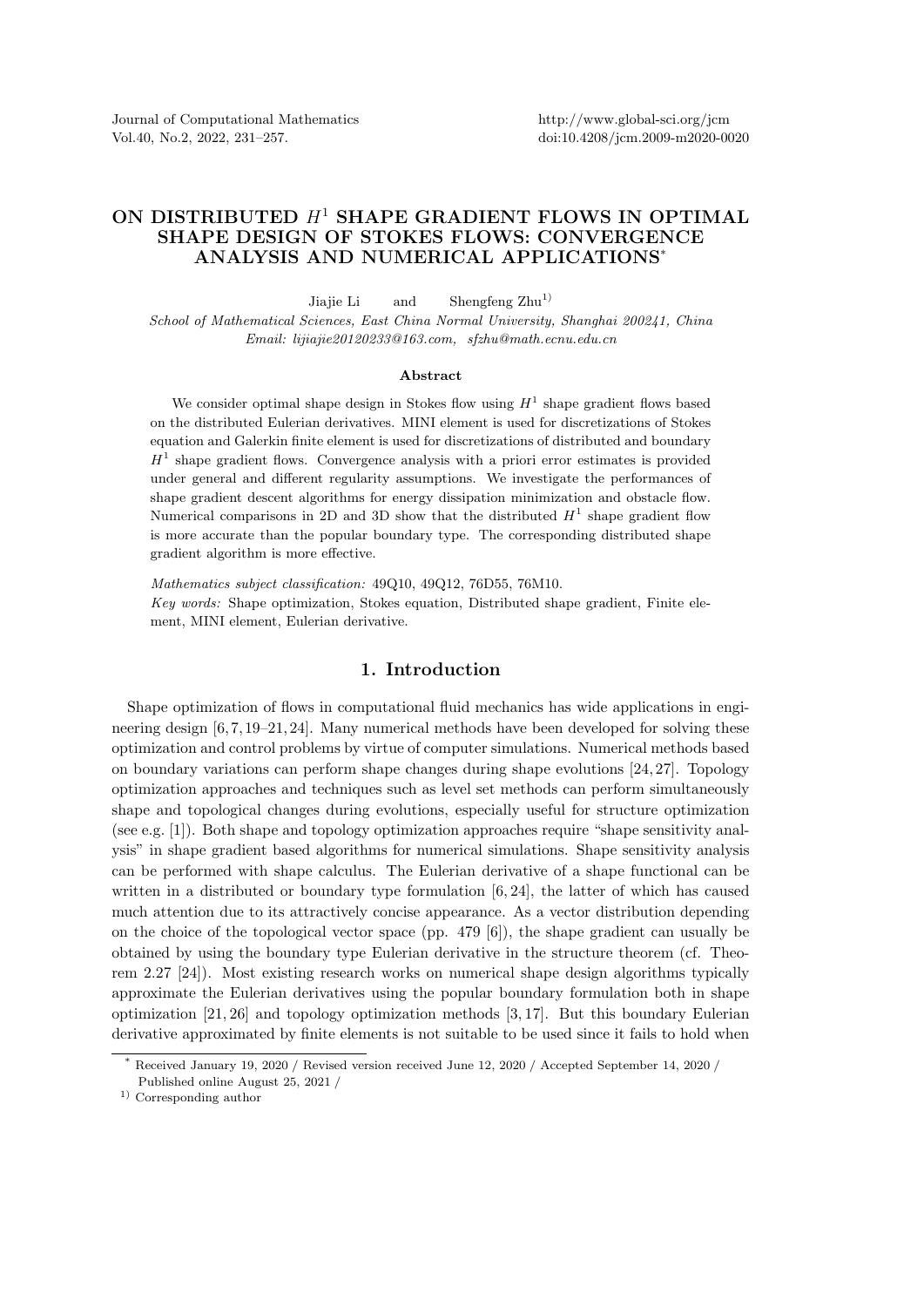Journal of Computational Mathematics Vol.40, No.2, 2022, 231–257.

## ON DISTRIBUTED  $H^1$  SHAPE GRADIENT FLOWS IN OPTIMAL SHAPE DESIGN OF STOKES FLOWS: CONVERGENCE ANALYSIS AND NUMERICAL APPLICATIONS\*

Jiajie Li and Shengfeng  $\mathrm{Zhu}^{1}$ School of Mathematical Sciences, East China Normal University, Shanghai 200241, China Email: lijiajie20120233@163.com, sfzhu@math.ecnu.edu.cn

## Abstract

We consider optimal shape design in Stokes flow using  $H<sup>1</sup>$  shape gradient flows based on the distributed Eulerian derivatives. MINI element is used for discretizations of Stokes equation and Galerkin finite element is used for discretizations of distributed and boundary  $H<sup>1</sup>$  shape gradient flows. Convergence analysis with a priori error estimates is provided under general and different regularity assumptions. We investigate the performances of shape gradient descent algorithms for energy dissipation minimization and obstacle flow. Numerical comparisons in 2D and 3D show that the distributed  $H^1$  shape gradient flow is more accurate than the popular boundary type. The corresponding distributed shape gradient algorithm is more effective.

Mathematics subject classification: 49Q10, 49Q12, 76D55, 76M10. Key words: Shape optimization, Stokes equation, Distributed shape gradient, Finite element, MINI element, Eulerian derivative.

## 1. Introduction

Shape optimization of flows in computational fluid mechanics has wide applications in engineering design [6, 7, 19–21, 24]. Many numerical methods have been developed for solving these optimization and control problems by virtue of computer simulations. Numerical methods based on boundary variations can perform shape changes during shape evolutions [24, 27]. Topology optimization approaches and techniques such as level set methods can perform simultaneously shape and topological changes during evolutions, especially useful for structure optimization (see e.g. [1]). Both shape and topology optimization approaches require "shape sensitivity analysis" in shape gradient based algorithms for numerical simulations. Shape sensitivity analysis can be performed with shape calculus. The Eulerian derivative of a shape functional can be written in a distributed or boundary type formulation [6, 24], the latter of which has caused much attention due to its attractively concise appearance. As a vector distribution depending on the choice of the topological vector space (pp. 479 [6]), the shape gradient can usually be obtained by using the boundary type Eulerian derivative in the structure theorem (cf. Theorem 2.27 [24]). Most existing research works on numerical shape design algorithms typically approximate the Eulerian derivatives using the popular boundary formulation both in shape optimization [21, 26] and topology optimization methods [3, 17]. But this boundary Eulerian derivative approximated by finite elements is not suitable to be used since it fails to hold when

<sup>\*</sup> Received January 19, 2020 / Revised version received June 12, 2020 / Accepted September 14, 2020 / Published online August 25, 2021 /

<sup>1)</sup> Corresponding author